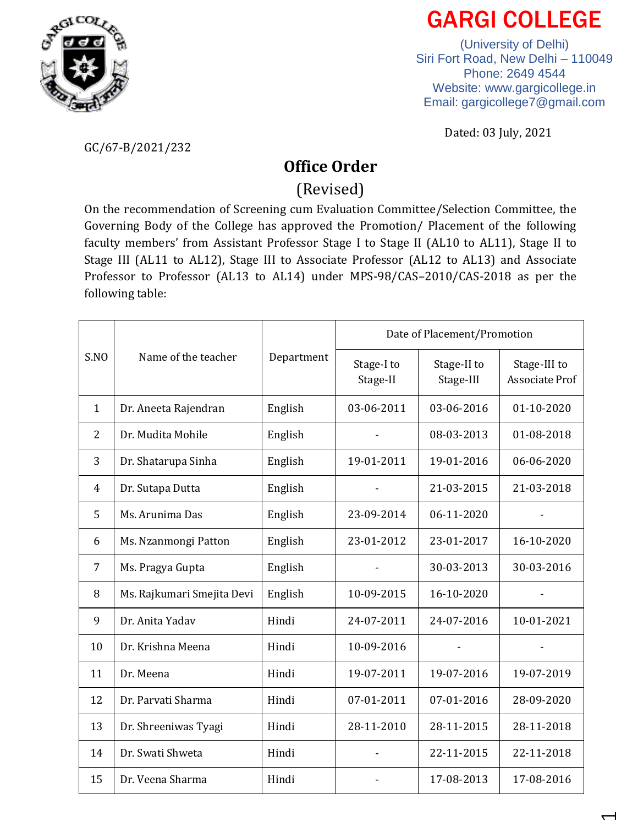

## GARGI COLLEGE

(University of Delhi) Siri Fort Road, New Delhi – 110049 Phone: 2649 4544 Website: [www.gargicollege.in](http://www.gargicollege.in/) Email: [gargicollege7@gmail.com](mailto:gargicollege7@gmail.com)

Dated: 03 July, 2021

GC/67-B/2021/232

## **Office Order**

(Revised)

On the recommendation of Screening cum Evaluation Committee/Selection Committee, the Governing Body of the College has approved the Promotion/ Placement of the following faculty members' from Assistant Professor Stage I to Stage II (AL10 to AL11), Stage II to Stage III (AL11 to AL12), Stage III to Associate Professor (AL12 to AL13) and Associate Professor to Professor (AL13 to AL14) under MPS-98/CAS–2010/CAS-2018 as per the following table:

| S.NO           | Name of the teacher        | Department | Date of Placement/Promotion |                          |                                       |
|----------------|----------------------------|------------|-----------------------------|--------------------------|---------------------------------------|
|                |                            |            | Stage-I to<br>Stage-II      | Stage-II to<br>Stage-III | Stage-III to<br><b>Associate Prof</b> |
| $\mathbf{1}$   | Dr. Aneeta Rajendran       | English    | 03-06-2011                  | 03-06-2016               | 01-10-2020                            |
| $\overline{2}$ | Dr. Mudita Mohile          | English    |                             | 08-03-2013               | 01-08-2018                            |
| 3              | Dr. Shatarupa Sinha        | English    | 19-01-2011                  | 19-01-2016               | 06-06-2020                            |
| 4              | Dr. Sutapa Dutta           | English    |                             | 21-03-2015               | 21-03-2018                            |
| 5              | Ms. Arunima Das            | English    | 23-09-2014                  | 06-11-2020               |                                       |
| 6              | Ms. Nzanmongi Patton       | English    | 23-01-2012                  | 23-01-2017               | 16-10-2020                            |
| 7              | Ms. Pragya Gupta           | English    |                             | 30-03-2013               | 30-03-2016                            |
| 8              | Ms. Rajkumari Smejita Devi | English    | 10-09-2015                  | 16-10-2020               |                                       |
| 9              | Dr. Anita Yadav            | Hindi      | 24-07-2011                  | 24-07-2016               | 10-01-2021                            |
| 10             | Dr. Krishna Meena          | Hindi      | 10-09-2016                  |                          |                                       |
| 11             | Dr. Meena                  | Hindi      | 19-07-2011                  | 19-07-2016               | 19-07-2019                            |
| 12             | Dr. Parvati Sharma         | Hindi      | 07-01-2011                  | 07-01-2016               | 28-09-2020                            |
| 13             | Dr. Shreeniwas Tyagi       | Hindi      | 28-11-2010                  | 28-11-2015               | 28-11-2018                            |
| 14             | Dr. Swati Shweta           | Hindi      |                             | 22-11-2015               | 22-11-2018                            |
| 15             | Dr. Veena Sharma           | Hindi      |                             | 17-08-2013               | 17-08-2016                            |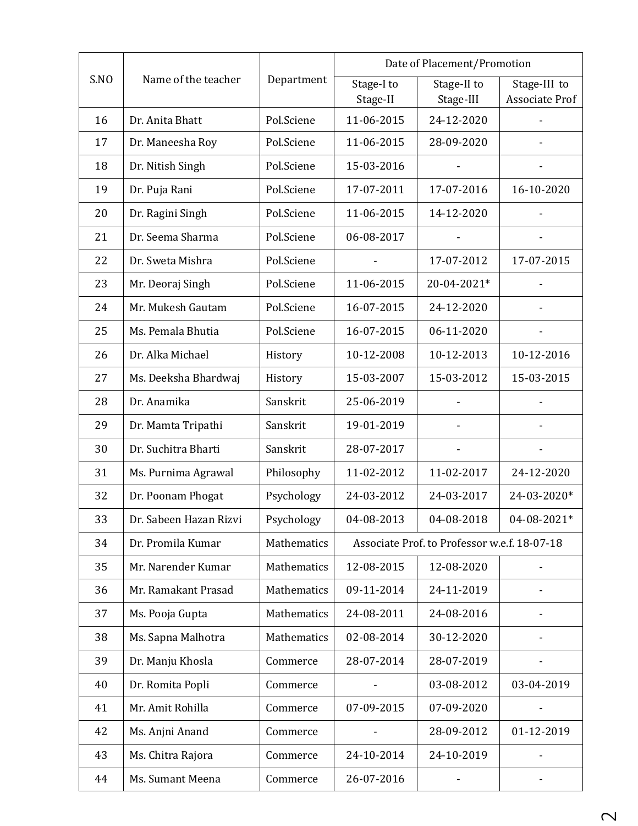|      | Name of the teacher    | Department  | Date of Placement/Promotion                  |             |                |
|------|------------------------|-------------|----------------------------------------------|-------------|----------------|
| S.NO |                        |             | Stage-I to                                   | Stage-II to | Stage-III to   |
|      |                        |             | Stage-II                                     | Stage-III   | Associate Prof |
| 16   | Dr. Anita Bhatt        | Pol.Sciene  | 11-06-2015                                   | 24-12-2020  |                |
| 17   | Dr. Maneesha Roy       | Pol.Sciene  | 11-06-2015                                   | 28-09-2020  |                |
| 18   | Dr. Nitish Singh       | Pol.Sciene  | 15-03-2016                                   |             |                |
| 19   | Dr. Puja Rani          | Pol.Sciene  | 17-07-2011                                   | 17-07-2016  | 16-10-2020     |
| 20   | Dr. Ragini Singh       | Pol.Sciene  | 11-06-2015                                   | 14-12-2020  |                |
| 21   | Dr. Seema Sharma       | Pol.Sciene  | 06-08-2017                                   |             |                |
| 22   | Dr. Sweta Mishra       | Pol.Sciene  |                                              | 17-07-2012  | 17-07-2015     |
| 23   | Mr. Deoraj Singh       | Pol.Sciene  | 11-06-2015                                   | 20-04-2021* |                |
| 24   | Mr. Mukesh Gautam      | Pol.Sciene  | 16-07-2015                                   | 24-12-2020  |                |
| 25   | Ms. Pemala Bhutia      | Pol.Sciene  | 16-07-2015                                   | 06-11-2020  |                |
| 26   | Dr. Alka Michael       | History     | 10-12-2008                                   | 10-12-2013  | 10-12-2016     |
| 27   | Ms. Deeksha Bhardwaj   | History     | 15-03-2007                                   | 15-03-2012  | 15-03-2015     |
| 28   | Dr. Anamika            | Sanskrit    | 25-06-2019                                   |             |                |
| 29   | Dr. Mamta Tripathi     | Sanskrit    | 19-01-2019                                   |             |                |
| 30   | Dr. Suchitra Bharti    | Sanskrit    | 28-07-2017                                   |             |                |
| 31   | Ms. Purnima Agrawal    | Philosophy  | 11-02-2012                                   | 11-02-2017  | 24-12-2020     |
| 32   | Dr. Poonam Phogat      | Psychology  | 24-03-2012                                   | 24-03-2017  | 24-03-2020*    |
| 33   | Dr. Sabeen Hazan Rizvi | Psychology  | 04-08-2013                                   | 04-08-2018  | 04-08-2021*    |
| 34   | Dr. Promila Kumar      | Mathematics | Associate Prof. to Professor w.e.f. 18-07-18 |             |                |
| 35   | Mr. Narender Kumar     | Mathematics | 12-08-2015                                   | 12-08-2020  |                |
| 36   | Mr. Ramakant Prasad    | Mathematics | 09-11-2014                                   | 24-11-2019  |                |
| 37   | Ms. Pooja Gupta        | Mathematics | 24-08-2011                                   | 24-08-2016  |                |
| 38   | Ms. Sapna Malhotra     | Mathematics | 02-08-2014                                   | 30-12-2020  |                |
| 39   | Dr. Manju Khosla       | Commerce    | 28-07-2014                                   | 28-07-2019  |                |
| 40   | Dr. Romita Popli       | Commerce    |                                              | 03-08-2012  | 03-04-2019     |
| 41   | Mr. Amit Rohilla       | Commerce    | 07-09-2015                                   | 07-09-2020  |                |
| 42   | Ms. Anjni Anand        | Commerce    |                                              | 28-09-2012  | 01-12-2019     |
| 43   | Ms. Chitra Rajora      | Commerce    | 24-10-2014                                   | 24-10-2019  |                |
| 44   | Ms. Sumant Meena       | Commerce    | 26-07-2016                                   |             |                |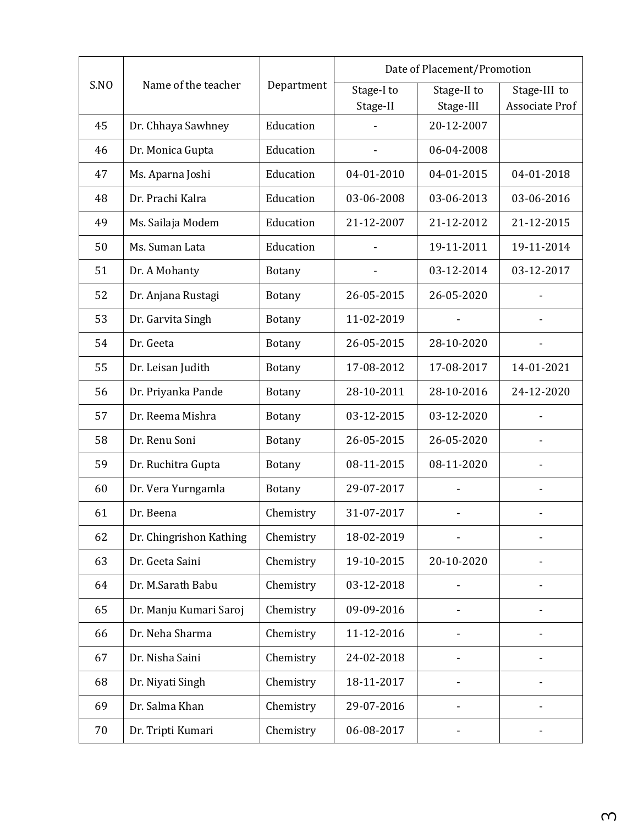| S.NO | Name of the teacher     | Department    | Date of Placement/Promotion |                         |                                |
|------|-------------------------|---------------|-----------------------------|-------------------------|--------------------------------|
|      |                         |               | Stage-I to                  | Stage-II to             | Stage-III to<br>Associate Prof |
| 45   | Dr. Chhaya Sawhney      | Education     | Stage-II                    | Stage-III<br>20-12-2007 |                                |
| 46   | Dr. Monica Gupta        | Education     |                             | 06-04-2008              |                                |
|      |                         |               |                             |                         |                                |
| 47   | Ms. Aparna Joshi        | Education     | 04-01-2010                  | 04-01-2015              | 04-01-2018                     |
| 48   | Dr. Prachi Kalra        | Education     | 03-06-2008                  | 03-06-2013              | 03-06-2016                     |
| 49   | Ms. Sailaja Modem       | Education     | 21-12-2007                  | 21-12-2012              | 21-12-2015                     |
| 50   | Ms. Suman Lata          | Education     |                             | 19-11-2011              | 19-11-2014                     |
| 51   | Dr. A Mohanty           | <b>Botany</b> |                             | 03-12-2014              | 03-12-2017                     |
| 52   | Dr. Anjana Rustagi      | <b>Botany</b> | 26-05-2015                  | 26-05-2020              |                                |
| 53   | Dr. Garvita Singh       | <b>Botany</b> | 11-02-2019                  |                         |                                |
| 54   | Dr. Geeta               | <b>Botany</b> | 26-05-2015                  | 28-10-2020              | $\overline{\phantom{a}}$       |
| 55   | Dr. Leisan Judith       | <b>Botany</b> | 17-08-2012                  | 17-08-2017              | 14-01-2021                     |
| 56   | Dr. Priyanka Pande      | <b>Botany</b> | 28-10-2011                  | 28-10-2016              | 24-12-2020                     |
| 57   | Dr. Reema Mishra        | <b>Botany</b> | 03-12-2015                  | 03-12-2020              |                                |
| 58   | Dr. Renu Soni           | <b>Botany</b> | 26-05-2015                  | 26-05-2020              |                                |
| 59   | Dr. Ruchitra Gupta      | <b>Botany</b> | 08-11-2015                  | 08-11-2020              |                                |
| 60   | Dr. Vera Yurngamla      | <b>Botany</b> | 29-07-2017                  |                         |                                |
| 61   | Dr. Beena               | Chemistry     | 31-07-2017                  |                         |                                |
| 62   | Dr. Chingrishon Kathing | Chemistry     | 18-02-2019                  |                         |                                |
| 63   | Dr. Geeta Saini         | Chemistry     | 19-10-2015                  | 20-10-2020              |                                |
| 64   | Dr. M.Sarath Babu       | Chemistry     | 03-12-2018                  |                         |                                |
| 65   | Dr. Manju Kumari Saroj  | Chemistry     | 09-09-2016                  |                         |                                |
| 66   | Dr. Neha Sharma         | Chemistry     | 11-12-2016                  |                         |                                |
| 67   | Dr. Nisha Saini         | Chemistry     | 24-02-2018                  |                         |                                |
| 68   | Dr. Niyati Singh        | Chemistry     | 18-11-2017                  |                         |                                |
| 69   | Dr. Salma Khan          | Chemistry     | 29-07-2016                  |                         |                                |
| 70   | Dr. Tripti Kumari       | Chemistry     | 06-08-2017                  |                         |                                |